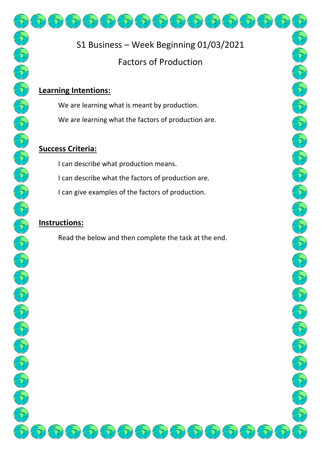## **Learning Intentions:**

We are learning what is meant by production. We are learning what the factors of production are.

## **Success Criteria:**

I can describe what production means.

I can describe what the factors of production are.

I can give examples of the factors of production.

# **Instructions:**

Read the below and then complete the task at the end.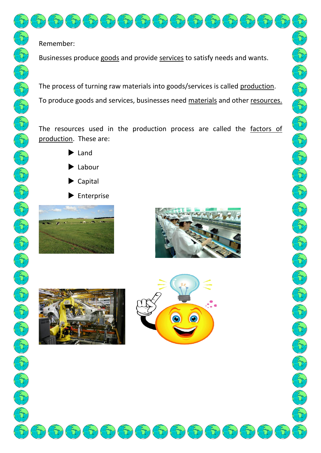## Remember:

Businesses produce goods and provide services to satisfy needs and wants.

The process of turning raw materials into goods/services is called production. To produce goods and services, businesses need materials and other resources.

The resources used in the production process are called the factors of production. These are:

- $\blacktriangleright$  Land
- $\blacktriangleright$  Labour
- ▶ Capital
- $\blacktriangleright$  Enterprise







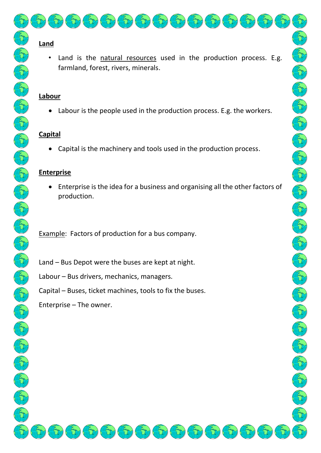## **Land**

Land is the natural resources used in the production process. E.g. farmland, forest, rivers, minerals.

#### **Labour**

• Labour is the people used in the production process. E.g. the workers.

### **Capital**

• Capital is the machinery and tools used in the production process.

### **Enterprise**

• Enterprise is the idea for a business and organising all the other factors of production.

Example: Factors of production for a bus company.

Land – Bus Depot were the buses are kept at night.

Labour – Bus drivers, mechanics, managers.

Capital – Buses, ticket machines, tools to fix the buses.

Enterprise – The owner.